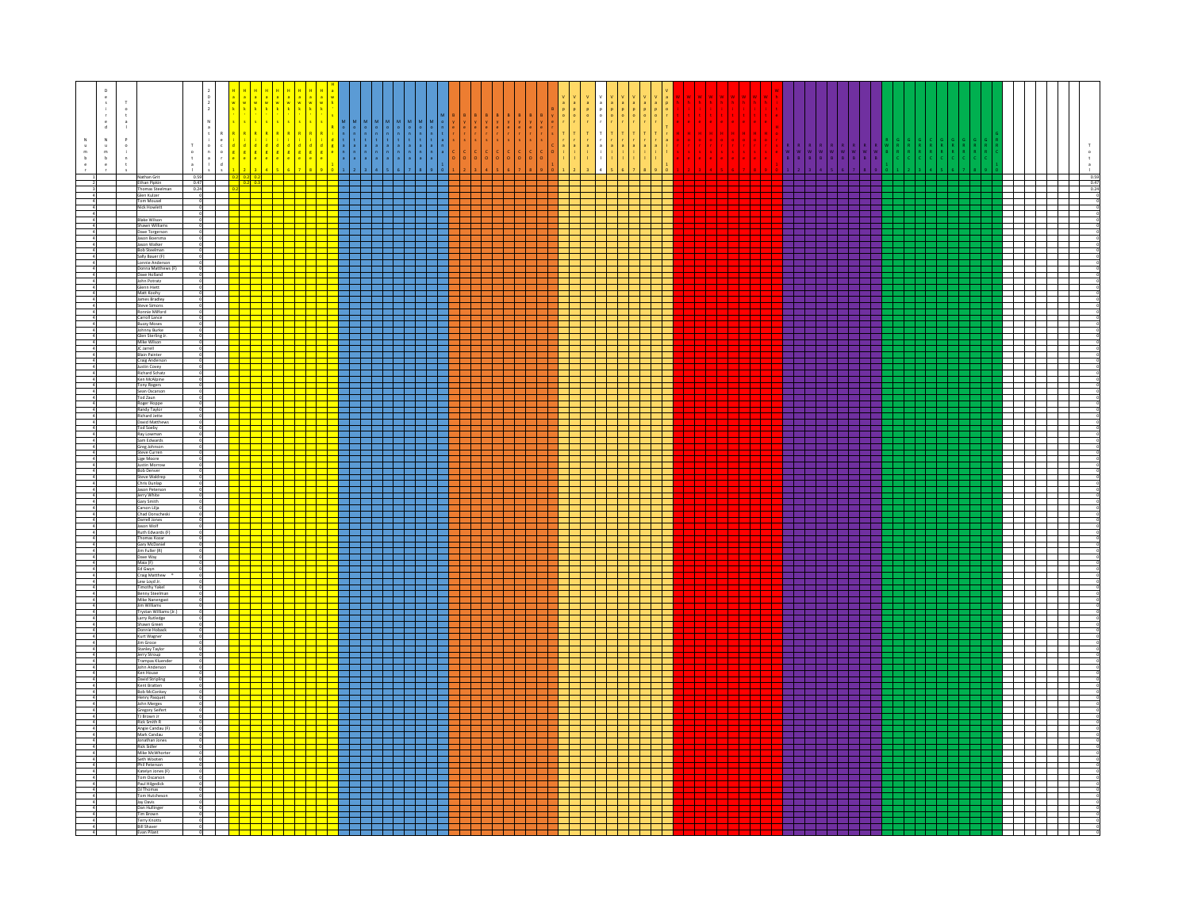| Ethan Pipkin<br>Thomas Steelman<br>$0.47$<br>$0.24$<br>22 September 20<br><b>1. 1.</b><br>.<br>Glen Kulzer<br><u> Fernand</u><br>1 H H H<br>$\mathbf{L}$<br><b>Contract Contract</b><br>Tom Mousel<br><b>Nick Howlett</b><br>$\mathbf{1}$<br>T 1 1 1 1<br><b>The Common</b><br><b>Blake Wilson</b><br>a shekarar 19<br>and the state of the state<br>Shawn Williams<br>Dave Torgerson<br><b>START</b><br>. .<br><u> Tanzania de la contrada de la con</u><br><u> Tarta da ba</u><br>a ka<br>Jason Boersma<br>and the state<br>.<br>and the state of the state<br>Jason Walker<br>22 32 32<br><b>Bob Steelman</b><br>Sally Bauer (F)<br>Lonnie Anderson<br>a Tin<br><mark>────────</mark> ───────────<br>Donna Matthews (F)<br>a kacamatan ing Kabupatén Ing Kabupatén Ing Kabupatén Ing Kabupatén Ing Kabupatén Ing Kabupatén Ing Kabupatén<br>a da ser de la contrad<br>Dave Holland<br>a politi<br>$\Box$<br>and the state<br>John Potratz<br>a m<br>. .<br>Glenn Hiett<br><u> a shekara t</u><br>Matt Koohy<br><u> 1945 - Jacque</u><br>James Bradley<br>22 S S S S<br>Steve Simons<br>and a more<br>Ronnie Milford<br>a di Band<br>. .<br>.<br>Carroll Lance<br><b>Buzzy Moses</b><br>Johnny Burke<br><b>The Company</b><br><b>Contract Contract</b><br>and the state<br>a sa Tanzania<br>Glen Sterling Jr.<br>and the state<br>Mike Wilso<br>IC Jarrell<br>♦<br>.<br><b>Blain Painter</b><br>and the state of the state<br>.<br>and the company of the company<br><b>Craig Anderson</b><br>a da barren<br>Justin Covey<br>and the state<br><b>Richard Schatz</b><br>Ken McAlpine<br>---<br>Tony Rogers<br>22 S.E<br>Sean Oscarson<br>Tod Zaun<br>a di Bandaria<br>T T T T<br>Roger Hoppe<br><del>┈┈┈┈┈┈┈</del><br>╶╌╌╌╌╌╌╌╌╌╌<br>Randy Taylor<br><b>Richard Jette</b><br>da birli<br>David Matthews<br><b>Contract Contract</b><br>Tod Soeby<br>Ray Lowman<br>$\mathbf{r}$<br>Sam Edwards<br>T T T T T<br>Greg Johnson<br>a da wasan ƙafa ta ƙ<br>and the state<br>$\sim$<br><b>Steve Curren</b><br><del>╎╎╎╎╒╝╤╝╗┆┆╎</del><br>┼┼┼┼┼┽┽┽┽┽┽<br>┼┼┼┼┼┽┽┽┽┽┽<br>7 H H H<br>and the second<br>Lige Moore<br>Justin Morrow<br><b>Bob Denver</b><br><u> Territoria e pro</u><br>Steve Waldrep<br>Chris Dunlap<br>Jason Peterson<br>and the state<br><b>TITLE</b><br>Jerry White<br>Gary Smith<br>a di kacamatan Ing<br>a katika Manazarta<br>TI 11<br>the contract of the con-<br><u> Heleni</u><br>Carson Lilja<br>Chad Donscheski<br>Darrell Jones<br>Jason Wolf<br>Ruth Edwards (F)<br>a di serie dell'<br>a shekarar 19<br>a da bar<br>and the state of the state<br>and the state of<br>$\mathbf{u}$<br><b>Thomas Kozar</b><br>a sa Ba<br>.<br>and the state of<br>Gary McDanie<br>Jim Fuller (R)<br>-11<br>Dave Way<br>Maia (F)<br>an da ba<br>and the state<br>and the state<br>- 11<br>Ed Gwyn<br>a a T<br>. .<br>Craig Matthew<br>Lew Loyd Jr.<br><b>STATISTICS</b><br>.<br><b>Timothy Yakel</b><br><u> La Carlo de la Carlo de la Carlo de la Carlo de la Carlo de la Carlo de la Carlo de la Carlo de la Carlo de l</u><br><u> 1959 - 1959 - 1959 - 1959 - 1959 - 1959 - 1959 - 1959 - 1959 - 1959 - 1959 - 1959 - 1959 - 1959 - 1959 - 19</u><br>Benny Steelman<br>Mike Nanengast<br>Jim Williams<br>$\mathbb{R}$<br>Trystan Williams (Jr.)<br>and the state<br>and the company of the company<br>22 22 22 22<br>Larry Rutledge<br>Shawn Green<br>. .<br>Donnie Hoback<br>Kurt Wagner<br>$\blacksquare$<br>Jim Groce<br><u> Helen</u><br>Stanley Taylor<br>Jerry Stroup<br>----<br><b>Contract Contract</b><br><b>Trampas Kluend</b><br>John Anderson<br>Ken House<br>il a la<br>David Stripling<br>and the state of the state<br>Kent Bratten<br><b>Bob McConkey</b><br>-11<br>$\mathbf{1}$<br><b>Henry Pasquet</b><br>John Merges<br>and the state of the<br><u> Tanzania de la pro</u><br>and the state of the state<br>Gregory Seifert<br>TJ Brown Jr<br>Rick Smith R<br>$\mathbf{I}$<br>Angie Candau (F)<br><u> Harry Star</u><br>Mark Candau<br>Jonathan Jones<br>Rick Sidler<br><u> Die Beleid</u><br>1 T T T<br>Mike McWhorter<br>والسارات السراسر استراسات<br>T<br>Seth Wooten<br>$\overline{\phantom{a}}$<br><mark>de la statuta d</mark> e la statuta de la statuta de la statuta de la statuta del segundo de la statuta del segundo de<br>Katelyn Jones (F)<br>Tom Oscarson<br><mark>┽┽╾┋╪╪╧╪╧┋</mark><br>Paul Hilgedick<br>DJ Thomas<br>.<br>3 3 3 3 3 4<br><b>The Company</b><br>Tom Hutcheson<br>. .<br>- 11<br>Jay Davis<br>Dan Hullinger<br>Tim Brown<br>Terry Knotts<br><u> Titl</u><br>▅ <mark>╅═┪═┪═┪═┪═┪</mark> | $\mathsf D$<br>${\mathbb N}$<br>$_\mathrm{b}^\mathrm{m}$ | Nathan Grit                | 0.59 | $2$ 0.2 0.2 |  |  | $\begin{array}{c c} & 0.59 \\ & 0.47 \\ & 0.24 \end{array}$ |
|--------------------------------------------------------------------------------------------------------------------------------------------------------------------------------------------------------------------------------------------------------------------------------------------------------------------------------------------------------------------------------------------------------------------------------------------------------------------------------------------------------------------------------------------------------------------------------------------------------------------------------------------------------------------------------------------------------------------------------------------------------------------------------------------------------------------------------------------------------------------------------------------------------------------------------------------------------------------------------------------------------------------------------------------------------------------------------------------------------------------------------------------------------------------------------------------------------------------------------------------------------------------------------------------------------------------------------------------------------------------------------------------------------------------------------------------------------------------------------------------------------------------------------------------------------------------------------------------------------------------------------------------------------------------------------------------------------------------------------------------------------------------------------------------------------------------------------------------------------------------------------------------------------------------------------------------------------------------------------------------------------------------------------------------------------------------------------------------------------------------------------------------------------------------------------------------------------------------------------------------------------------------------------------------------------------------------------------------------------------------------------------------------------------------------------------------------------------------------------------------------------------------------------------------------------------------------------------------------------------------------------------------------------------------------------------------------------------------------------------------------------------------------------------------------------------------------------------------------------------------------------------------------------------------------------------------------------------------------------------------------------------------------------------------------------------------------------------------------------------------------------------------------------------------------------------------------------------------------------------------------------------------------------------------------------------------------------------------------------------------------------------------------------------------------------------------------------------------------------------------------------------------------------------------------------------------------------------------------------------------------------------------------------------------------------------------------------------------------------------------------------------------------------------------------------------------------------------------------------------------------------------------------------------------------------------------------------------------------------------------------------------------------------------------------------------------------------------------------------------------------------------------------------------------------------------------------------------------------------------------------------------------------------------------------------------------------------------------------------------------------------------------------------------------------------------------------------------------------------------------------------------------------------------------------|----------------------------------------------------------|----------------------------|------|-------------|--|--|-------------------------------------------------------------|
|                                                                                                                                                                                                                                                                                                                                                                                                                                                                                                                                                                                                                                                                                                                                                                                                                                                                                                                                                                                                                                                                                                                                                                                                                                                                                                                                                                                                                                                                                                                                                                                                                                                                                                                                                                                                                                                                                                                                                                                                                                                                                                                                                                                                                                                                                                                                                                                                                                                                                                                                                                                                                                                                                                                                                                                                                                                                                                                                                                                                                                                                                                                                                                                                                                                                                                                                                                                                                                                                                                                                                                                                                                                                                                                                                                                                                                                                                                                                                                                                                                                                                                                                                                                                                                                                                                                                                                                                                                                                                                                                                  |                                                          |                            |      |             |  |  |                                                             |
|                                                                                                                                                                                                                                                                                                                                                                                                                                                                                                                                                                                                                                                                                                                                                                                                                                                                                                                                                                                                                                                                                                                                                                                                                                                                                                                                                                                                                                                                                                                                                                                                                                                                                                                                                                                                                                                                                                                                                                                                                                                                                                                                                                                                                                                                                                                                                                                                                                                                                                                                                                                                                                                                                                                                                                                                                                                                                                                                                                                                                                                                                                                                                                                                                                                                                                                                                                                                                                                                                                                                                                                                                                                                                                                                                                                                                                                                                                                                                                                                                                                                                                                                                                                                                                                                                                                                                                                                                                                                                                                                                  |                                                          |                            |      |             |  |  |                                                             |
|                                                                                                                                                                                                                                                                                                                                                                                                                                                                                                                                                                                                                                                                                                                                                                                                                                                                                                                                                                                                                                                                                                                                                                                                                                                                                                                                                                                                                                                                                                                                                                                                                                                                                                                                                                                                                                                                                                                                                                                                                                                                                                                                                                                                                                                                                                                                                                                                                                                                                                                                                                                                                                                                                                                                                                                                                                                                                                                                                                                                                                                                                                                                                                                                                                                                                                                                                                                                                                                                                                                                                                                                                                                                                                                                                                                                                                                                                                                                                                                                                                                                                                                                                                                                                                                                                                                                                                                                                                                                                                                                                  |                                                          |                            |      |             |  |  |                                                             |
|                                                                                                                                                                                                                                                                                                                                                                                                                                                                                                                                                                                                                                                                                                                                                                                                                                                                                                                                                                                                                                                                                                                                                                                                                                                                                                                                                                                                                                                                                                                                                                                                                                                                                                                                                                                                                                                                                                                                                                                                                                                                                                                                                                                                                                                                                                                                                                                                                                                                                                                                                                                                                                                                                                                                                                                                                                                                                                                                                                                                                                                                                                                                                                                                                                                                                                                                                                                                                                                                                                                                                                                                                                                                                                                                                                                                                                                                                                                                                                                                                                                                                                                                                                                                                                                                                                                                                                                                                                                                                                                                                  |                                                          |                            |      |             |  |  |                                                             |
|                                                                                                                                                                                                                                                                                                                                                                                                                                                                                                                                                                                                                                                                                                                                                                                                                                                                                                                                                                                                                                                                                                                                                                                                                                                                                                                                                                                                                                                                                                                                                                                                                                                                                                                                                                                                                                                                                                                                                                                                                                                                                                                                                                                                                                                                                                                                                                                                                                                                                                                                                                                                                                                                                                                                                                                                                                                                                                                                                                                                                                                                                                                                                                                                                                                                                                                                                                                                                                                                                                                                                                                                                                                                                                                                                                                                                                                                                                                                                                                                                                                                                                                                                                                                                                                                                                                                                                                                                                                                                                                                                  |                                                          |                            |      |             |  |  |                                                             |
|                                                                                                                                                                                                                                                                                                                                                                                                                                                                                                                                                                                                                                                                                                                                                                                                                                                                                                                                                                                                                                                                                                                                                                                                                                                                                                                                                                                                                                                                                                                                                                                                                                                                                                                                                                                                                                                                                                                                                                                                                                                                                                                                                                                                                                                                                                                                                                                                                                                                                                                                                                                                                                                                                                                                                                                                                                                                                                                                                                                                                                                                                                                                                                                                                                                                                                                                                                                                                                                                                                                                                                                                                                                                                                                                                                                                                                                                                                                                                                                                                                                                                                                                                                                                                                                                                                                                                                                                                                                                                                                                                  |                                                          |                            |      |             |  |  |                                                             |
|                                                                                                                                                                                                                                                                                                                                                                                                                                                                                                                                                                                                                                                                                                                                                                                                                                                                                                                                                                                                                                                                                                                                                                                                                                                                                                                                                                                                                                                                                                                                                                                                                                                                                                                                                                                                                                                                                                                                                                                                                                                                                                                                                                                                                                                                                                                                                                                                                                                                                                                                                                                                                                                                                                                                                                                                                                                                                                                                                                                                                                                                                                                                                                                                                                                                                                                                                                                                                                                                                                                                                                                                                                                                                                                                                                                                                                                                                                                                                                                                                                                                                                                                                                                                                                                                                                                                                                                                                                                                                                                                                  |                                                          |                            |      |             |  |  |                                                             |
|                                                                                                                                                                                                                                                                                                                                                                                                                                                                                                                                                                                                                                                                                                                                                                                                                                                                                                                                                                                                                                                                                                                                                                                                                                                                                                                                                                                                                                                                                                                                                                                                                                                                                                                                                                                                                                                                                                                                                                                                                                                                                                                                                                                                                                                                                                                                                                                                                                                                                                                                                                                                                                                                                                                                                                                                                                                                                                                                                                                                                                                                                                                                                                                                                                                                                                                                                                                                                                                                                                                                                                                                                                                                                                                                                                                                                                                                                                                                                                                                                                                                                                                                                                                                                                                                                                                                                                                                                                                                                                                                                  |                                                          |                            |      |             |  |  |                                                             |
|                                                                                                                                                                                                                                                                                                                                                                                                                                                                                                                                                                                                                                                                                                                                                                                                                                                                                                                                                                                                                                                                                                                                                                                                                                                                                                                                                                                                                                                                                                                                                                                                                                                                                                                                                                                                                                                                                                                                                                                                                                                                                                                                                                                                                                                                                                                                                                                                                                                                                                                                                                                                                                                                                                                                                                                                                                                                                                                                                                                                                                                                                                                                                                                                                                                                                                                                                                                                                                                                                                                                                                                                                                                                                                                                                                                                                                                                                                                                                                                                                                                                                                                                                                                                                                                                                                                                                                                                                                                                                                                                                  |                                                          |                            |      |             |  |  |                                                             |
|                                                                                                                                                                                                                                                                                                                                                                                                                                                                                                                                                                                                                                                                                                                                                                                                                                                                                                                                                                                                                                                                                                                                                                                                                                                                                                                                                                                                                                                                                                                                                                                                                                                                                                                                                                                                                                                                                                                                                                                                                                                                                                                                                                                                                                                                                                                                                                                                                                                                                                                                                                                                                                                                                                                                                                                                                                                                                                                                                                                                                                                                                                                                                                                                                                                                                                                                                                                                                                                                                                                                                                                                                                                                                                                                                                                                                                                                                                                                                                                                                                                                                                                                                                                                                                                                                                                                                                                                                                                                                                                                                  |                                                          |                            |      |             |  |  |                                                             |
|                                                                                                                                                                                                                                                                                                                                                                                                                                                                                                                                                                                                                                                                                                                                                                                                                                                                                                                                                                                                                                                                                                                                                                                                                                                                                                                                                                                                                                                                                                                                                                                                                                                                                                                                                                                                                                                                                                                                                                                                                                                                                                                                                                                                                                                                                                                                                                                                                                                                                                                                                                                                                                                                                                                                                                                                                                                                                                                                                                                                                                                                                                                                                                                                                                                                                                                                                                                                                                                                                                                                                                                                                                                                                                                                                                                                                                                                                                                                                                                                                                                                                                                                                                                                                                                                                                                                                                                                                                                                                                                                                  |                                                          |                            |      |             |  |  |                                                             |
|                                                                                                                                                                                                                                                                                                                                                                                                                                                                                                                                                                                                                                                                                                                                                                                                                                                                                                                                                                                                                                                                                                                                                                                                                                                                                                                                                                                                                                                                                                                                                                                                                                                                                                                                                                                                                                                                                                                                                                                                                                                                                                                                                                                                                                                                                                                                                                                                                                                                                                                                                                                                                                                                                                                                                                                                                                                                                                                                                                                                                                                                                                                                                                                                                                                                                                                                                                                                                                                                                                                                                                                                                                                                                                                                                                                                                                                                                                                                                                                                                                                                                                                                                                                                                                                                                                                                                                                                                                                                                                                                                  |                                                          |                            |      |             |  |  |                                                             |
|                                                                                                                                                                                                                                                                                                                                                                                                                                                                                                                                                                                                                                                                                                                                                                                                                                                                                                                                                                                                                                                                                                                                                                                                                                                                                                                                                                                                                                                                                                                                                                                                                                                                                                                                                                                                                                                                                                                                                                                                                                                                                                                                                                                                                                                                                                                                                                                                                                                                                                                                                                                                                                                                                                                                                                                                                                                                                                                                                                                                                                                                                                                                                                                                                                                                                                                                                                                                                                                                                                                                                                                                                                                                                                                                                                                                                                                                                                                                                                                                                                                                                                                                                                                                                                                                                                                                                                                                                                                                                                                                                  |                                                          |                            |      |             |  |  |                                                             |
|                                                                                                                                                                                                                                                                                                                                                                                                                                                                                                                                                                                                                                                                                                                                                                                                                                                                                                                                                                                                                                                                                                                                                                                                                                                                                                                                                                                                                                                                                                                                                                                                                                                                                                                                                                                                                                                                                                                                                                                                                                                                                                                                                                                                                                                                                                                                                                                                                                                                                                                                                                                                                                                                                                                                                                                                                                                                                                                                                                                                                                                                                                                                                                                                                                                                                                                                                                                                                                                                                                                                                                                                                                                                                                                                                                                                                                                                                                                                                                                                                                                                                                                                                                                                                                                                                                                                                                                                                                                                                                                                                  |                                                          |                            |      |             |  |  |                                                             |
|                                                                                                                                                                                                                                                                                                                                                                                                                                                                                                                                                                                                                                                                                                                                                                                                                                                                                                                                                                                                                                                                                                                                                                                                                                                                                                                                                                                                                                                                                                                                                                                                                                                                                                                                                                                                                                                                                                                                                                                                                                                                                                                                                                                                                                                                                                                                                                                                                                                                                                                                                                                                                                                                                                                                                                                                                                                                                                                                                                                                                                                                                                                                                                                                                                                                                                                                                                                                                                                                                                                                                                                                                                                                                                                                                                                                                                                                                                                                                                                                                                                                                                                                                                                                                                                                                                                                                                                                                                                                                                                                                  |                                                          |                            |      |             |  |  |                                                             |
|                                                                                                                                                                                                                                                                                                                                                                                                                                                                                                                                                                                                                                                                                                                                                                                                                                                                                                                                                                                                                                                                                                                                                                                                                                                                                                                                                                                                                                                                                                                                                                                                                                                                                                                                                                                                                                                                                                                                                                                                                                                                                                                                                                                                                                                                                                                                                                                                                                                                                                                                                                                                                                                                                                                                                                                                                                                                                                                                                                                                                                                                                                                                                                                                                                                                                                                                                                                                                                                                                                                                                                                                                                                                                                                                                                                                                                                                                                                                                                                                                                                                                                                                                                                                                                                                                                                                                                                                                                                                                                                                                  |                                                          |                            |      |             |  |  |                                                             |
|                                                                                                                                                                                                                                                                                                                                                                                                                                                                                                                                                                                                                                                                                                                                                                                                                                                                                                                                                                                                                                                                                                                                                                                                                                                                                                                                                                                                                                                                                                                                                                                                                                                                                                                                                                                                                                                                                                                                                                                                                                                                                                                                                                                                                                                                                                                                                                                                                                                                                                                                                                                                                                                                                                                                                                                                                                                                                                                                                                                                                                                                                                                                                                                                                                                                                                                                                                                                                                                                                                                                                                                                                                                                                                                                                                                                                                                                                                                                                                                                                                                                                                                                                                                                                                                                                                                                                                                                                                                                                                                                                  |                                                          |                            |      |             |  |  |                                                             |
|                                                                                                                                                                                                                                                                                                                                                                                                                                                                                                                                                                                                                                                                                                                                                                                                                                                                                                                                                                                                                                                                                                                                                                                                                                                                                                                                                                                                                                                                                                                                                                                                                                                                                                                                                                                                                                                                                                                                                                                                                                                                                                                                                                                                                                                                                                                                                                                                                                                                                                                                                                                                                                                                                                                                                                                                                                                                                                                                                                                                                                                                                                                                                                                                                                                                                                                                                                                                                                                                                                                                                                                                                                                                                                                                                                                                                                                                                                                                                                                                                                                                                                                                                                                                                                                                                                                                                                                                                                                                                                                                                  |                                                          |                            |      |             |  |  |                                                             |
|                                                                                                                                                                                                                                                                                                                                                                                                                                                                                                                                                                                                                                                                                                                                                                                                                                                                                                                                                                                                                                                                                                                                                                                                                                                                                                                                                                                                                                                                                                                                                                                                                                                                                                                                                                                                                                                                                                                                                                                                                                                                                                                                                                                                                                                                                                                                                                                                                                                                                                                                                                                                                                                                                                                                                                                                                                                                                                                                                                                                                                                                                                                                                                                                                                                                                                                                                                                                                                                                                                                                                                                                                                                                                                                                                                                                                                                                                                                                                                                                                                                                                                                                                                                                                                                                                                                                                                                                                                                                                                                                                  |                                                          |                            |      |             |  |  |                                                             |
|                                                                                                                                                                                                                                                                                                                                                                                                                                                                                                                                                                                                                                                                                                                                                                                                                                                                                                                                                                                                                                                                                                                                                                                                                                                                                                                                                                                                                                                                                                                                                                                                                                                                                                                                                                                                                                                                                                                                                                                                                                                                                                                                                                                                                                                                                                                                                                                                                                                                                                                                                                                                                                                                                                                                                                                                                                                                                                                                                                                                                                                                                                                                                                                                                                                                                                                                                                                                                                                                                                                                                                                                                                                                                                                                                                                                                                                                                                                                                                                                                                                                                                                                                                                                                                                                                                                                                                                                                                                                                                                                                  |                                                          |                            |      |             |  |  |                                                             |
|                                                                                                                                                                                                                                                                                                                                                                                                                                                                                                                                                                                                                                                                                                                                                                                                                                                                                                                                                                                                                                                                                                                                                                                                                                                                                                                                                                                                                                                                                                                                                                                                                                                                                                                                                                                                                                                                                                                                                                                                                                                                                                                                                                                                                                                                                                                                                                                                                                                                                                                                                                                                                                                                                                                                                                                                                                                                                                                                                                                                                                                                                                                                                                                                                                                                                                                                                                                                                                                                                                                                                                                                                                                                                                                                                                                                                                                                                                                                                                                                                                                                                                                                                                                                                                                                                                                                                                                                                                                                                                                                                  |                                                          |                            |      |             |  |  |                                                             |
|                                                                                                                                                                                                                                                                                                                                                                                                                                                                                                                                                                                                                                                                                                                                                                                                                                                                                                                                                                                                                                                                                                                                                                                                                                                                                                                                                                                                                                                                                                                                                                                                                                                                                                                                                                                                                                                                                                                                                                                                                                                                                                                                                                                                                                                                                                                                                                                                                                                                                                                                                                                                                                                                                                                                                                                                                                                                                                                                                                                                                                                                                                                                                                                                                                                                                                                                                                                                                                                                                                                                                                                                                                                                                                                                                                                                                                                                                                                                                                                                                                                                                                                                                                                                                                                                                                                                                                                                                                                                                                                                                  |                                                          |                            |      |             |  |  |                                                             |
|                                                                                                                                                                                                                                                                                                                                                                                                                                                                                                                                                                                                                                                                                                                                                                                                                                                                                                                                                                                                                                                                                                                                                                                                                                                                                                                                                                                                                                                                                                                                                                                                                                                                                                                                                                                                                                                                                                                                                                                                                                                                                                                                                                                                                                                                                                                                                                                                                                                                                                                                                                                                                                                                                                                                                                                                                                                                                                                                                                                                                                                                                                                                                                                                                                                                                                                                                                                                                                                                                                                                                                                                                                                                                                                                                                                                                                                                                                                                                                                                                                                                                                                                                                                                                                                                                                                                                                                                                                                                                                                                                  |                                                          |                            |      |             |  |  |                                                             |
|                                                                                                                                                                                                                                                                                                                                                                                                                                                                                                                                                                                                                                                                                                                                                                                                                                                                                                                                                                                                                                                                                                                                                                                                                                                                                                                                                                                                                                                                                                                                                                                                                                                                                                                                                                                                                                                                                                                                                                                                                                                                                                                                                                                                                                                                                                                                                                                                                                                                                                                                                                                                                                                                                                                                                                                                                                                                                                                                                                                                                                                                                                                                                                                                                                                                                                                                                                                                                                                                                                                                                                                                                                                                                                                                                                                                                                                                                                                                                                                                                                                                                                                                                                                                                                                                                                                                                                                                                                                                                                                                                  |                                                          |                            |      |             |  |  |                                                             |
|                                                                                                                                                                                                                                                                                                                                                                                                                                                                                                                                                                                                                                                                                                                                                                                                                                                                                                                                                                                                                                                                                                                                                                                                                                                                                                                                                                                                                                                                                                                                                                                                                                                                                                                                                                                                                                                                                                                                                                                                                                                                                                                                                                                                                                                                                                                                                                                                                                                                                                                                                                                                                                                                                                                                                                                                                                                                                                                                                                                                                                                                                                                                                                                                                                                                                                                                                                                                                                                                                                                                                                                                                                                                                                                                                                                                                                                                                                                                                                                                                                                                                                                                                                                                                                                                                                                                                                                                                                                                                                                                                  |                                                          |                            |      |             |  |  |                                                             |
|                                                                                                                                                                                                                                                                                                                                                                                                                                                                                                                                                                                                                                                                                                                                                                                                                                                                                                                                                                                                                                                                                                                                                                                                                                                                                                                                                                                                                                                                                                                                                                                                                                                                                                                                                                                                                                                                                                                                                                                                                                                                                                                                                                                                                                                                                                                                                                                                                                                                                                                                                                                                                                                                                                                                                                                                                                                                                                                                                                                                                                                                                                                                                                                                                                                                                                                                                                                                                                                                                                                                                                                                                                                                                                                                                                                                                                                                                                                                                                                                                                                                                                                                                                                                                                                                                                                                                                                                                                                                                                                                                  |                                                          |                            |      |             |  |  |                                                             |
|                                                                                                                                                                                                                                                                                                                                                                                                                                                                                                                                                                                                                                                                                                                                                                                                                                                                                                                                                                                                                                                                                                                                                                                                                                                                                                                                                                                                                                                                                                                                                                                                                                                                                                                                                                                                                                                                                                                                                                                                                                                                                                                                                                                                                                                                                                                                                                                                                                                                                                                                                                                                                                                                                                                                                                                                                                                                                                                                                                                                                                                                                                                                                                                                                                                                                                                                                                                                                                                                                                                                                                                                                                                                                                                                                                                                                                                                                                                                                                                                                                                                                                                                                                                                                                                                                                                                                                                                                                                                                                                                                  |                                                          |                            |      |             |  |  |                                                             |
|                                                                                                                                                                                                                                                                                                                                                                                                                                                                                                                                                                                                                                                                                                                                                                                                                                                                                                                                                                                                                                                                                                                                                                                                                                                                                                                                                                                                                                                                                                                                                                                                                                                                                                                                                                                                                                                                                                                                                                                                                                                                                                                                                                                                                                                                                                                                                                                                                                                                                                                                                                                                                                                                                                                                                                                                                                                                                                                                                                                                                                                                                                                                                                                                                                                                                                                                                                                                                                                                                                                                                                                                                                                                                                                                                                                                                                                                                                                                                                                                                                                                                                                                                                                                                                                                                                                                                                                                                                                                                                                                                  |                                                          |                            |      |             |  |  |                                                             |
|                                                                                                                                                                                                                                                                                                                                                                                                                                                                                                                                                                                                                                                                                                                                                                                                                                                                                                                                                                                                                                                                                                                                                                                                                                                                                                                                                                                                                                                                                                                                                                                                                                                                                                                                                                                                                                                                                                                                                                                                                                                                                                                                                                                                                                                                                                                                                                                                                                                                                                                                                                                                                                                                                                                                                                                                                                                                                                                                                                                                                                                                                                                                                                                                                                                                                                                                                                                                                                                                                                                                                                                                                                                                                                                                                                                                                                                                                                                                                                                                                                                                                                                                                                                                                                                                                                                                                                                                                                                                                                                                                  |                                                          |                            |      |             |  |  |                                                             |
|                                                                                                                                                                                                                                                                                                                                                                                                                                                                                                                                                                                                                                                                                                                                                                                                                                                                                                                                                                                                                                                                                                                                                                                                                                                                                                                                                                                                                                                                                                                                                                                                                                                                                                                                                                                                                                                                                                                                                                                                                                                                                                                                                                                                                                                                                                                                                                                                                                                                                                                                                                                                                                                                                                                                                                                                                                                                                                                                                                                                                                                                                                                                                                                                                                                                                                                                                                                                                                                                                                                                                                                                                                                                                                                                                                                                                                                                                                                                                                                                                                                                                                                                                                                                                                                                                                                                                                                                                                                                                                                                                  |                                                          |                            |      |             |  |  |                                                             |
|                                                                                                                                                                                                                                                                                                                                                                                                                                                                                                                                                                                                                                                                                                                                                                                                                                                                                                                                                                                                                                                                                                                                                                                                                                                                                                                                                                                                                                                                                                                                                                                                                                                                                                                                                                                                                                                                                                                                                                                                                                                                                                                                                                                                                                                                                                                                                                                                                                                                                                                                                                                                                                                                                                                                                                                                                                                                                                                                                                                                                                                                                                                                                                                                                                                                                                                                                                                                                                                                                                                                                                                                                                                                                                                                                                                                                                                                                                                                                                                                                                                                                                                                                                                                                                                                                                                                                                                                                                                                                                                                                  |                                                          |                            |      |             |  |  |                                                             |
|                                                                                                                                                                                                                                                                                                                                                                                                                                                                                                                                                                                                                                                                                                                                                                                                                                                                                                                                                                                                                                                                                                                                                                                                                                                                                                                                                                                                                                                                                                                                                                                                                                                                                                                                                                                                                                                                                                                                                                                                                                                                                                                                                                                                                                                                                                                                                                                                                                                                                                                                                                                                                                                                                                                                                                                                                                                                                                                                                                                                                                                                                                                                                                                                                                                                                                                                                                                                                                                                                                                                                                                                                                                                                                                                                                                                                                                                                                                                                                                                                                                                                                                                                                                                                                                                                                                                                                                                                                                                                                                                                  |                                                          |                            |      |             |  |  |                                                             |
|                                                                                                                                                                                                                                                                                                                                                                                                                                                                                                                                                                                                                                                                                                                                                                                                                                                                                                                                                                                                                                                                                                                                                                                                                                                                                                                                                                                                                                                                                                                                                                                                                                                                                                                                                                                                                                                                                                                                                                                                                                                                                                                                                                                                                                                                                                                                                                                                                                                                                                                                                                                                                                                                                                                                                                                                                                                                                                                                                                                                                                                                                                                                                                                                                                                                                                                                                                                                                                                                                                                                                                                                                                                                                                                                                                                                                                                                                                                                                                                                                                                                                                                                                                                                                                                                                                                                                                                                                                                                                                                                                  |                                                          |                            |      |             |  |  |                                                             |
|                                                                                                                                                                                                                                                                                                                                                                                                                                                                                                                                                                                                                                                                                                                                                                                                                                                                                                                                                                                                                                                                                                                                                                                                                                                                                                                                                                                                                                                                                                                                                                                                                                                                                                                                                                                                                                                                                                                                                                                                                                                                                                                                                                                                                                                                                                                                                                                                                                                                                                                                                                                                                                                                                                                                                                                                                                                                                                                                                                                                                                                                                                                                                                                                                                                                                                                                                                                                                                                                                                                                                                                                                                                                                                                                                                                                                                                                                                                                                                                                                                                                                                                                                                                                                                                                                                                                                                                                                                                                                                                                                  |                                                          |                            |      |             |  |  |                                                             |
|                                                                                                                                                                                                                                                                                                                                                                                                                                                                                                                                                                                                                                                                                                                                                                                                                                                                                                                                                                                                                                                                                                                                                                                                                                                                                                                                                                                                                                                                                                                                                                                                                                                                                                                                                                                                                                                                                                                                                                                                                                                                                                                                                                                                                                                                                                                                                                                                                                                                                                                                                                                                                                                                                                                                                                                                                                                                                                                                                                                                                                                                                                                                                                                                                                                                                                                                                                                                                                                                                                                                                                                                                                                                                                                                                                                                                                                                                                                                                                                                                                                                                                                                                                                                                                                                                                                                                                                                                                                                                                                                                  |                                                          |                            |      |             |  |  |                                                             |
|                                                                                                                                                                                                                                                                                                                                                                                                                                                                                                                                                                                                                                                                                                                                                                                                                                                                                                                                                                                                                                                                                                                                                                                                                                                                                                                                                                                                                                                                                                                                                                                                                                                                                                                                                                                                                                                                                                                                                                                                                                                                                                                                                                                                                                                                                                                                                                                                                                                                                                                                                                                                                                                                                                                                                                                                                                                                                                                                                                                                                                                                                                                                                                                                                                                                                                                                                                                                                                                                                                                                                                                                                                                                                                                                                                                                                                                                                                                                                                                                                                                                                                                                                                                                                                                                                                                                                                                                                                                                                                                                                  |                                                          |                            |      |             |  |  |                                                             |
|                                                                                                                                                                                                                                                                                                                                                                                                                                                                                                                                                                                                                                                                                                                                                                                                                                                                                                                                                                                                                                                                                                                                                                                                                                                                                                                                                                                                                                                                                                                                                                                                                                                                                                                                                                                                                                                                                                                                                                                                                                                                                                                                                                                                                                                                                                                                                                                                                                                                                                                                                                                                                                                                                                                                                                                                                                                                                                                                                                                                                                                                                                                                                                                                                                                                                                                                                                                                                                                                                                                                                                                                                                                                                                                                                                                                                                                                                                                                                                                                                                                                                                                                                                                                                                                                                                                                                                                                                                                                                                                                                  |                                                          |                            |      |             |  |  |                                                             |
|                                                                                                                                                                                                                                                                                                                                                                                                                                                                                                                                                                                                                                                                                                                                                                                                                                                                                                                                                                                                                                                                                                                                                                                                                                                                                                                                                                                                                                                                                                                                                                                                                                                                                                                                                                                                                                                                                                                                                                                                                                                                                                                                                                                                                                                                                                                                                                                                                                                                                                                                                                                                                                                                                                                                                                                                                                                                                                                                                                                                                                                                                                                                                                                                                                                                                                                                                                                                                                                                                                                                                                                                                                                                                                                                                                                                                                                                                                                                                                                                                                                                                                                                                                                                                                                                                                                                                                                                                                                                                                                                                  |                                                          |                            |      |             |  |  |                                                             |
|                                                                                                                                                                                                                                                                                                                                                                                                                                                                                                                                                                                                                                                                                                                                                                                                                                                                                                                                                                                                                                                                                                                                                                                                                                                                                                                                                                                                                                                                                                                                                                                                                                                                                                                                                                                                                                                                                                                                                                                                                                                                                                                                                                                                                                                                                                                                                                                                                                                                                                                                                                                                                                                                                                                                                                                                                                                                                                                                                                                                                                                                                                                                                                                                                                                                                                                                                                                                                                                                                                                                                                                                                                                                                                                                                                                                                                                                                                                                                                                                                                                                                                                                                                                                                                                                                                                                                                                                                                                                                                                                                  |                                                          |                            |      |             |  |  |                                                             |
|                                                                                                                                                                                                                                                                                                                                                                                                                                                                                                                                                                                                                                                                                                                                                                                                                                                                                                                                                                                                                                                                                                                                                                                                                                                                                                                                                                                                                                                                                                                                                                                                                                                                                                                                                                                                                                                                                                                                                                                                                                                                                                                                                                                                                                                                                                                                                                                                                                                                                                                                                                                                                                                                                                                                                                                                                                                                                                                                                                                                                                                                                                                                                                                                                                                                                                                                                                                                                                                                                                                                                                                                                                                                                                                                                                                                                                                                                                                                                                                                                                                                                                                                                                                                                                                                                                                                                                                                                                                                                                                                                  |                                                          |                            |      |             |  |  |                                                             |
|                                                                                                                                                                                                                                                                                                                                                                                                                                                                                                                                                                                                                                                                                                                                                                                                                                                                                                                                                                                                                                                                                                                                                                                                                                                                                                                                                                                                                                                                                                                                                                                                                                                                                                                                                                                                                                                                                                                                                                                                                                                                                                                                                                                                                                                                                                                                                                                                                                                                                                                                                                                                                                                                                                                                                                                                                                                                                                                                                                                                                                                                                                                                                                                                                                                                                                                                                                                                                                                                                                                                                                                                                                                                                                                                                                                                                                                                                                                                                                                                                                                                                                                                                                                                                                                                                                                                                                                                                                                                                                                                                  |                                                          |                            |      |             |  |  |                                                             |
|                                                                                                                                                                                                                                                                                                                                                                                                                                                                                                                                                                                                                                                                                                                                                                                                                                                                                                                                                                                                                                                                                                                                                                                                                                                                                                                                                                                                                                                                                                                                                                                                                                                                                                                                                                                                                                                                                                                                                                                                                                                                                                                                                                                                                                                                                                                                                                                                                                                                                                                                                                                                                                                                                                                                                                                                                                                                                                                                                                                                                                                                                                                                                                                                                                                                                                                                                                                                                                                                                                                                                                                                                                                                                                                                                                                                                                                                                                                                                                                                                                                                                                                                                                                                                                                                                                                                                                                                                                                                                                                                                  |                                                          |                            |      |             |  |  |                                                             |
|                                                                                                                                                                                                                                                                                                                                                                                                                                                                                                                                                                                                                                                                                                                                                                                                                                                                                                                                                                                                                                                                                                                                                                                                                                                                                                                                                                                                                                                                                                                                                                                                                                                                                                                                                                                                                                                                                                                                                                                                                                                                                                                                                                                                                                                                                                                                                                                                                                                                                                                                                                                                                                                                                                                                                                                                                                                                                                                                                                                                                                                                                                                                                                                                                                                                                                                                                                                                                                                                                                                                                                                                                                                                                                                                                                                                                                                                                                                                                                                                                                                                                                                                                                                                                                                                                                                                                                                                                                                                                                                                                  |                                                          | Bill Shaver<br>Evan Pilant |      |             |  |  |                                                             |